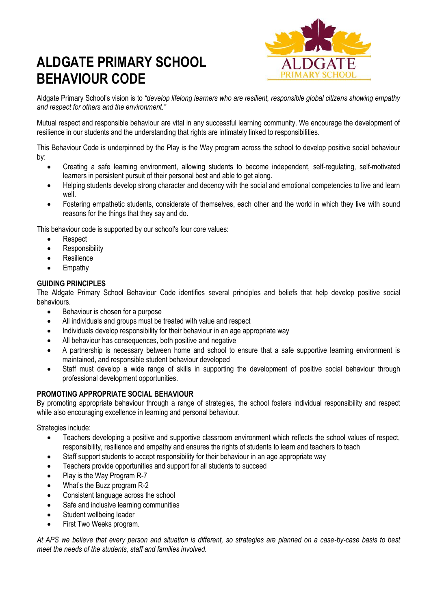# **ALDGATE PRIMARY SCHOOL BEHAVIOUR CODE**



Aldgate Primary School's vision is to *"develop lifelong learners who are resilient, responsible global citizens showing empathy and respect for others and the environment."*

Mutual respect and responsible behaviour are vital in any successful learning community. We encourage the development of resilience in our students and the understanding that rights are intimately linked to responsibilities.

This Behaviour Code is underpinned by the Play is the Way program across the school to develop positive social behaviour by:

- Creating a safe learning environment, allowing students to become independent, self-regulating, self-motivated learners in persistent pursuit of their personal best and able to get along.
- Helping students develop strong character and decency with the social and emotional competencies to live and learn well.
- Fostering empathetic students, considerate of themselves, each other and the world in which they live with sound reasons for the things that they say and do.

This behaviour code is supported by our school's four core values:

- Respect
- Responsibility
- **Resilience**
- Empathy

#### **GUIDING PRINCIPLES**

The Aldgate Primary School Behaviour Code identifies several principles and beliefs that help develop positive social behaviours.

- Behaviour is chosen for a purpose
- All individuals and groups must be treated with value and respect
- Individuals develop responsibility for their behaviour in an age appropriate way
- All behaviour has consequences, both positive and negative
- A partnership is necessary between home and school to ensure that a safe supportive learning environment is maintained, and responsible student behaviour developed
- Staff must develop a wide range of skills in supporting the development of positive social behaviour through professional development opportunities.

#### **PROMOTING APPROPRIATE SOCIAL BEHAVIOUR**

By promoting appropriate behaviour through a range of strategies, the school fosters individual responsibility and respect while also encouraging excellence in learning and personal behaviour.

Strategies include:

- Teachers developing a positive and supportive classroom environment which reflects the school values of respect, responsibility, resilience and empathy and ensures the rights of students to learn and teachers to teach
- Staff support students to accept responsibility for their behaviour in an age appropriate way
- Teachers provide opportunities and support for all students to succeed
- Play is the Way Program R-7
- What's the Buzz program R-2
- Consistent language across the school
- Safe and inclusive learning communities
- Student wellbeing leader
- First Two Weeks program.

*At APS we believe that every person and situation is different, so strategies are planned on a case-by-case basis to best meet the needs of the students, staff and families involved.*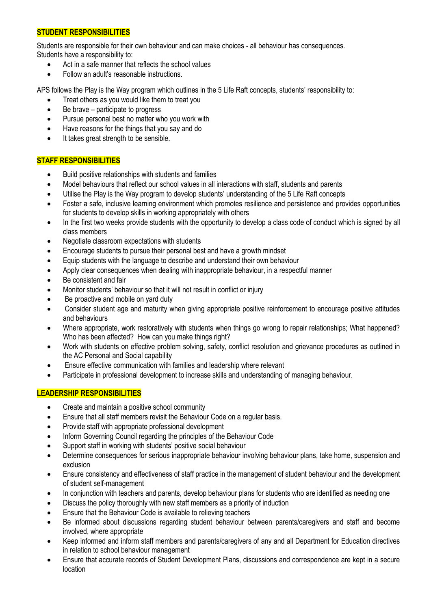## **STUDENT RESPONSIBILITIES**

Students are responsible for their own behaviour and can make choices - all behaviour has consequences. Students have a responsibility to:

- Act in a safe manner that reflects the school values
- Follow an adult's reasonable instructions.

APS follows the Play is the Way program which outlines in the 5 Life Raft concepts, students' responsibility to:

- Treat others as you would like them to treat you
- Be brave participate to progress
- Pursue personal best no matter who you work with
- Have reasons for the things that you say and do
- It takes great strength to be sensible.

## **STAFF RESPONSIBILITIES**

- Build positive relationships with students and families
- Model behaviours that reflect our school values in all interactions with staff, students and parents
- Utilise the Play is the Way program to develop students' understanding of the 5 Life Raft concepts
- Foster a safe, inclusive learning environment which promotes resilience and persistence and provides opportunities for students to develop skills in working appropriately with others
- In the first two weeks provide students with the opportunity to develop a class code of conduct which is signed by all class members
- Negotiate classroom expectations with students
- Encourage students to pursue their personal best and have a growth mindset
- Equip students with the language to describe and understand their own behaviour
- Apply clear consequences when dealing with inappropriate behaviour, in a respectful manner
- Be consistent and fair
- Monitor students' behaviour so that it will not result in conflict or injury
- Be proactive and mobile on yard duty
- Consider student age and maturity when giving appropriate positive reinforcement to encourage positive attitudes and behaviours
- Where appropriate, work restoratively with students when things go wrong to repair relationships; What happened? Who has been affected? How can you make things right?
- Work with students on effective problem solving, safety, conflict resolution and grievance procedures as outlined in the AC Personal and Social capability
- Ensure effective communication with families and leadership where relevant
- Participate in professional development to increase skills and understanding of managing behaviour.

#### **LEADERSHIP RESPONSIBILITIES**

- Create and maintain a positive school community
- Ensure that all staff members revisit the Behaviour Code on a regular basis.
- Provide staff with appropriate professional development
- Inform Governing Council regarding the principles of the Behaviour Code
- Support staff in working with students' positive social behaviour
- Determine consequences for serious inappropriate behaviour involving behaviour plans, take home, suspension and exclusion
- Ensure consistency and effectiveness of staff practice in the management of student behaviour and the development of student self-management
- In conjunction with teachers and parents, develop behaviour plans for students who are identified as needing one
- Discuss the policy thoroughly with new staff members as a priority of induction
- Ensure that the Behaviour Code is available to relieving teachers
- Be informed about discussions regarding student behaviour between parents/caregivers and staff and become involved, where appropriate
- Keep informed and inform staff members and parents/caregivers of any and all Department for Education directives in relation to school behaviour management
- Ensure that accurate records of Student Development Plans, discussions and correspondence are kept in a secure location